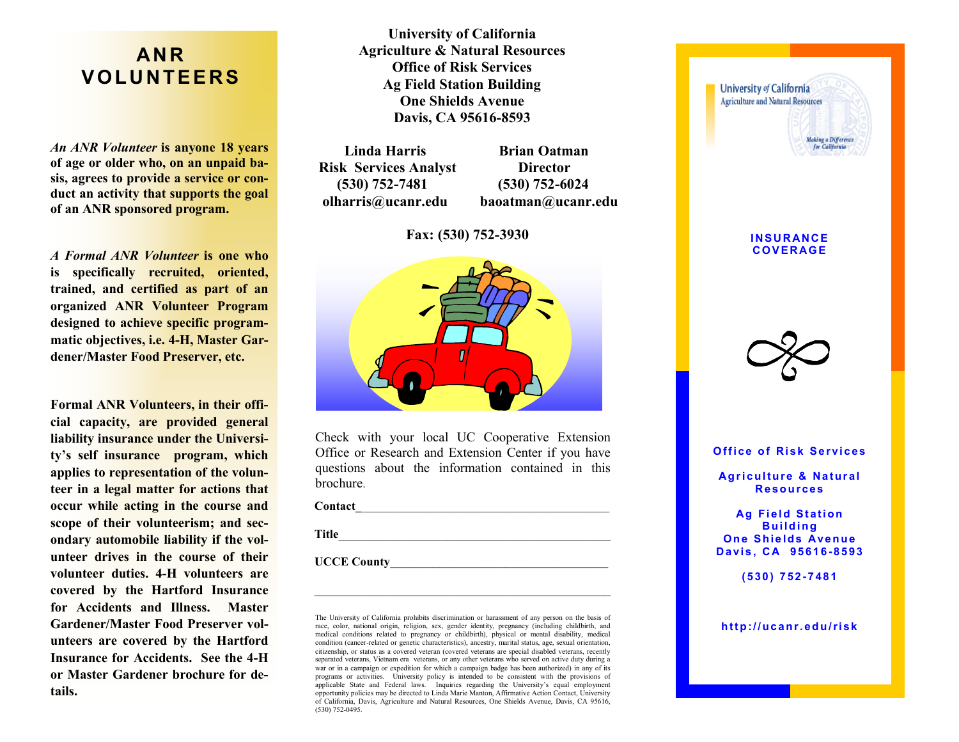# **AN R V O L U N T E E R S**

*An ANR Volunteer* **is anyone 18 years of age or older who, on an unpaid basis, agrees to provide a service or conduct an activity that supports the goal of an ANR sponsored program.** 

*A Formal ANR Volunteer* **is one who is specifically recruited, oriented, trained, and certified as part of an organized ANR Volunteer Program designed to achieve specific programmatic objectives, i.e. 4-H, Master Gardener/Master Food Preserver, etc.**

**Formal ANR Volunteers, in their official capacity, are provided general liability insurance under the University's self insurance program, which applies to representation of the volunteer in a legal matter for actions that occur while acting in the course and scope of their volunteerism; and secondary automobile liability if the volunteer drives in the course of their volunteer duties. 4-H volunteers are covered by the Hartford Insurance for Accidents and Illness. Master Gardener/Master Food Preserver volunteers are covered by the Hartford Insurance for Accidents. See the 4-H or Master Gardener brochure for details.**

**University of California Agriculture & Natural Resources Office of Risk Services Ag Field Station Building One Shields Avenue Davis, CA 95616-8593**

**Linda Harris Brian Oatman Risk Services Analyst Director (530) 752-7481 (530) 752-6024 olharris@ucanr.edu baoatman@ucanr.edu**

### **Fax: (530) 752-3930**



Check with your local UC Cooperative Extension Office or Research and Extension Center if you have questions about the information contained in this brochure.

**Contact\_**\_\_\_\_\_\_\_\_\_\_\_\_\_\_\_\_\_\_\_\_\_\_\_\_\_\_\_\_\_\_\_\_\_\_\_\_\_\_\_\_\_

Title

UCCE County

The University of California prohibits discrimination or harassment of any person on the basis of race, color, national origin, religion, sex, gender identity, pregnancy (including childbirth, and medical conditions related to pregnancy or childbirth), physical or mental disability, medical condition (cancer-related or genetic characteristics), ancestry, marital status, age, sexual orientation, citizenship, or status as a covered veteran (covered veterans are special disabled veterans, recently separated veterans, Vietnam era veterans, or any other veterans who served on active duty during a war or in a campaign or expedition for which a campaign badge has been authorized) in any of its programs or activities. University policy is intended to be consistent with the provisions of applicable State and Federal laws. Inquiries regarding the University's equal employment opportunity policies may be directed to Linda Marie Manton, Affirmative Action Contact, University of California, Davis, Agriculture and Natural Resources, One Shields Avenue, Davis, CA 95616, (530) 752-0495.



**Office of Risk Services** 

**Agriculture & Natural R e so u r ces** 

**Ag Field Station B u i ld i ng One Shields Avenue D a vi s , C A 95 61 6 -8 5 93**

**( 5 30 ) 7 52 - 7 48 1**

**h t t p :/ /u ca n r. ed u / ri sk**